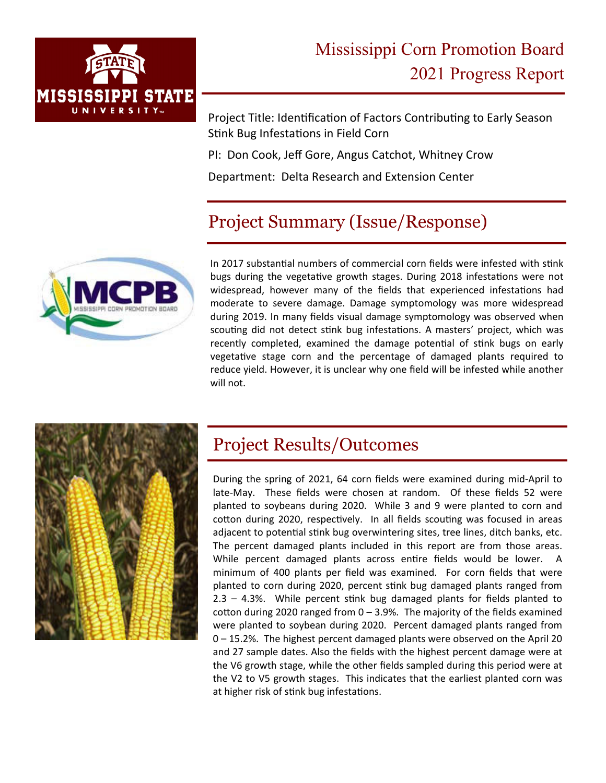

Project Title: Identification of Factors Contributing to Early Season Stink Bug Infestations in Field Corn

PI: Don Cook, Jeff Gore, Angus Catchot, Whitney Crow

Department: Delta Research and Extension Center

## Project Summary (Issue/Response)



In 2017 substantial numbers of commercial corn fields were infested with stink bugs during the vegetative growth stages. During 2018 infestations were not widespread, however many of the fields that experienced infestations had moderate to severe damage. Damage symptomology was more widespread during 2019. In many fields visual damage symptomology was observed when scouting did not detect stink bug infestations. A masters' project, which was recently completed, examined the damage potential of stink bugs on early vegetative stage corn and the percentage of damaged plants required to reduce yield. However, it is unclear why one field will be infested while another will not.



## Project Results/Outcomes

During the spring of 2021, 64 corn fields were examined during mid‐April to late‐May. These fields were chosen at random. Of these fields 52 were planted to soybeans during 2020. While 3 and 9 were planted to corn and cotton during 2020, respectively. In all fields scouting was focused in areas adjacent to potential stink bug overwintering sites, tree lines, ditch banks, etc. The percent damaged plants included in this report are from those areas. While percent damaged plants across entire fields would be lower. A minimum of 400 plants per field was examined. For corn fields that were planted to corn during 2020, percent stink bug damaged plants ranged from  $2.3 - 4.3$ %. While percent stink bug damaged plants for fields planted to cotton during 2020 ranged from  $0 - 3.9%$ . The majority of the fields examined were planted to soybean during 2020. Percent damaged plants ranged from 0 – 15.2%. The highest percent damaged plants were observed on the April 20 and 27 sample dates. Also the fields with the highest percent damage were at the V6 growth stage, while the other fields sampled during this period were at the V2 to V5 growth stages. This indicates that the earliest planted corn was at higher risk of stink bug infestations.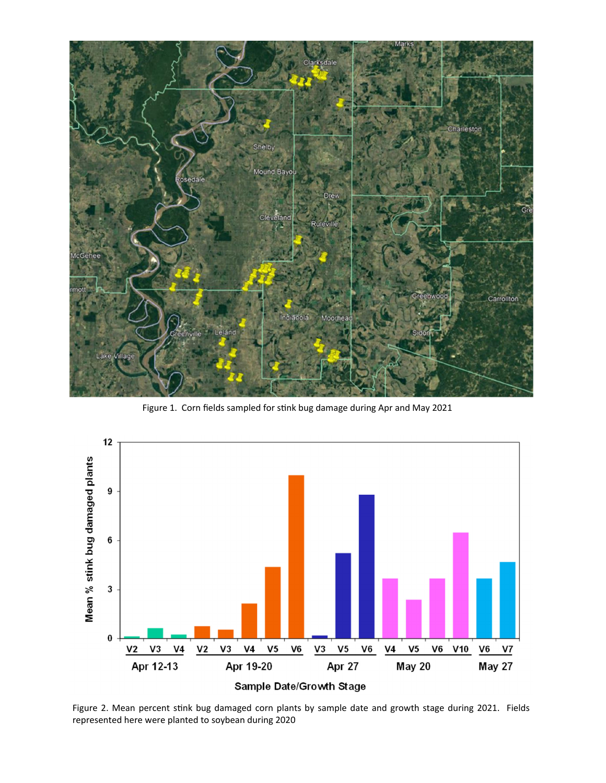

Figure 1. Corn fields sampled for stink bug damage during Apr and May 2021



Figure 2. Mean percent stink bug damaged corn plants by sample date and growth stage during 2021. Fields represented here were planted to soybean during 2020